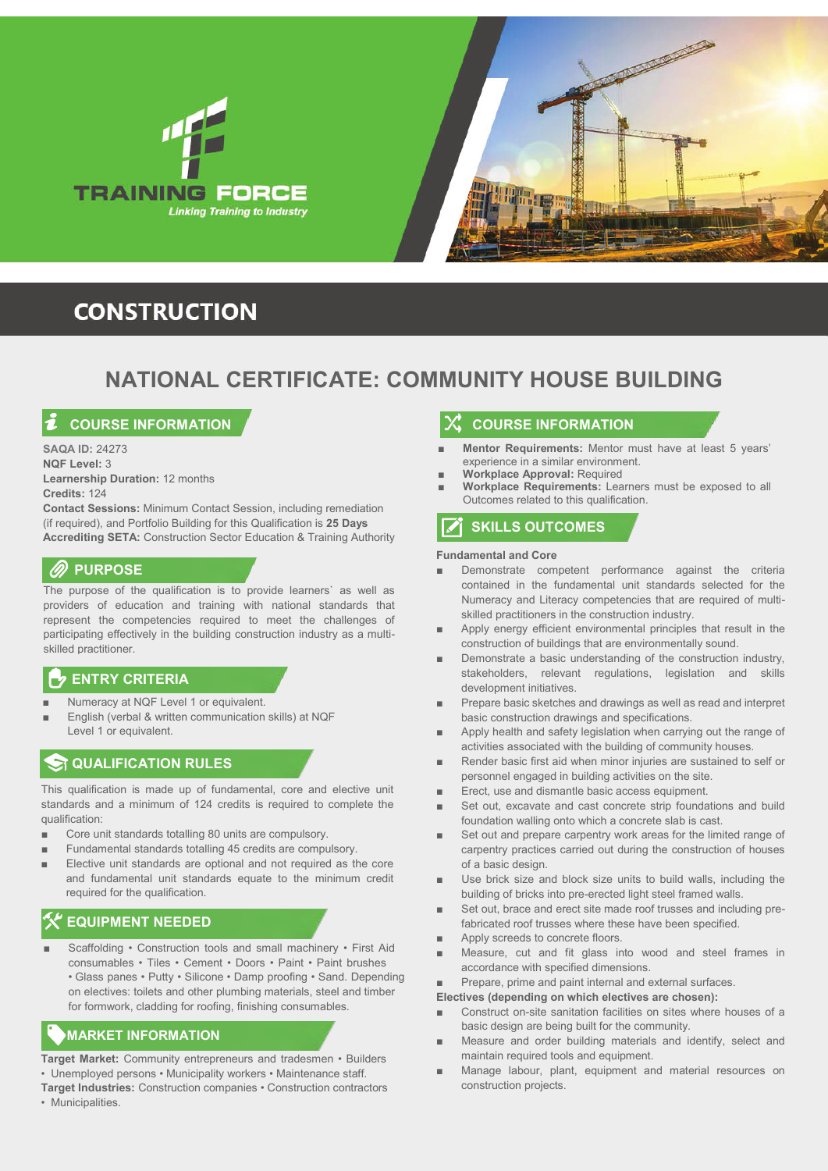



## **CONSTRUCTION**

## **NATIONAL CERTIFICATE: COMMUNITY HOUSE BUILDING**

## **COURSE INFORMATION**

**SAQA ID:** 24273 **NQF Level:** 3 **Learnership Duration:** 12 months **Credits:** 124

**Contact Sessions:** Minimum Contact Session, including remediation (if required), and Portfolio Building for this Qualification is **25 Days Accrediting SETA:** Construction Sector Education & Training Authority

## *<b><i>M* PURPOSE

The purpose of the qualification is to provide learners` as well as providers of education and training with national standards that represent the competencies required to meet the challenges of participating effectively in the building construction industry as a multiskilled practitioner.

## **ENTRY CRITERIA**

- Numeracy at NQF Level 1 or equivalent.
- English (verbal & written communication skills) at NQF Level 1 or equivalent.

## **QUALIFICATION RULES**

This qualification is made up of fundamental, core and elective unit standards and a minimum of 124 credits is required to complete the qualification:

- Core unit standards totalling 80 units are compulsory.
- Fundamental standards totalling 45 credits are compulsory.
- Elective unit standards are optional and not required as the core and fundamental unit standards equate to the minimum credit required for the qualification.

## **EQUIPMENT NEEDED**

Scaffolding • Construction tools and small machinery • First Aid consumables • Tiles • Cement • Doors • Paint • Paint brushes • Glass panes • Putty • Silicone • Damp proofing • Sand. Depending on electives: toilets and other plumbing materials, steel and timber for formwork, cladding for roofing, finishing consumables.

## **MARKET INFORMATION**

**Target Market:** Community entrepreneurs and tradesmen • Builders • Unemployed persons • Municipality workers • Maintenance staff.

**Target Industries:** Construction companies • Construction contractors • Municipalities.

## **COURSE INFORMATION**

- **Mentor Requirements:** Mentor must have at least 5 years' experience in a similar environment.
- **Workplace Approval:** Required
- **Workplace Requirements:** Learners must be exposed to all Outcomes related to this qualification.

## **SKILLS OUTCOMES**

#### **Fundamental and Core**

- Demonstrate competent performance against the criteria contained in the fundamental unit standards selected for the Numeracy and Literacy competencies that are required of multiskilled practitioners in the construction industry.
- Apply energy efficient environmental principles that result in the construction of buildings that are environmentally sound.
- Demonstrate a basic understanding of the construction industry, stakeholders, relevant regulations, legislation and skills development initiatives.
- Prepare basic sketches and drawings as well as read and interpret basic construction drawings and specifications.
- Apply health and safety legislation when carrying out the range of activities associated with the building of community houses.
- Render basic first aid when minor injuries are sustained to self or personnel engaged in building activities on the site.
- Erect, use and dismantle basic access equipment.
- Set out, excavate and cast concrete strip foundations and build foundation walling onto which a concrete slab is cast.
- Set out and prepare carpentry work areas for the limited range of carpentry practices carried out during the construction of houses of a basic design.
- Use brick size and block size units to build walls, including the building of bricks into pre-erected light steel framed walls.
- Set out, brace and erect site made roof trusses and including prefabricated roof trusses where these have been specified.
- Apply screeds to concrete floors.
- Measure, cut and fit glass into wood and steel frames in accordance with specified dimensions.
- Prepare, prime and paint internal and external surfaces.

**Electives (depending on which electives are chosen):**

- Construct on-site sanitation facilities on sites where houses of a basic design are being built for the community.
- Measure and order building materials and identify, select and maintain required tools and equipment.
- Manage labour, plant, equipment and material resources on construction projects.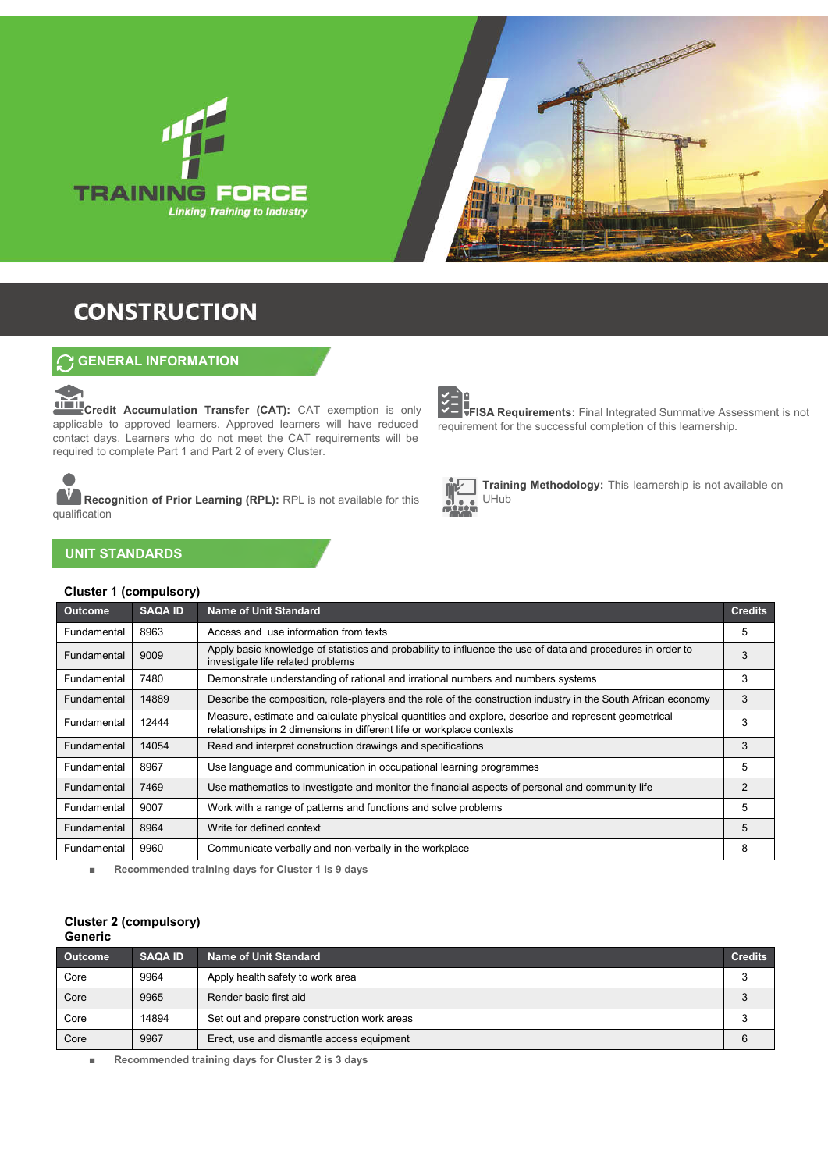



## **CONSTRUCTION**

## **GENERAL INFORMATION**

**Credit Accumulation Transfer (CAT):** CAT exemption is only applicable to approved learners. Approved learners will have reduced contact days. Learners who do not meet the CAT requirements will be required to complete Part 1 and Part 2 of every Cluster.

**Recognition of Prior Learning (RPL):** RPL is not available for this qualification

## **UNIT STANDARDS**

 $\overline{\phantom{a}}$ 

### **Cluster 1 (compulsory)**



**FISA Requirements:** Final Integrated Summative Assessment is not requirement for the successful completion of this learnership.



**Training Methodology:** This learnership is not available on UHub

| <b>Outcome</b> | <b>SAQA ID</b> | <b>Name of Unit Standard</b>                                                                                                                                                 | <b>Credits</b> |
|----------------|----------------|------------------------------------------------------------------------------------------------------------------------------------------------------------------------------|----------------|
| Fundamental    | 8963           | Access and use information from texts                                                                                                                                        | 5              |
| Fundamental    | 9009           | Apply basic knowledge of statistics and probability to influence the use of data and procedures in order to<br>investigate life related problems                             | 3              |
| Fundamental    | 7480           | Demonstrate understanding of rational and irrational numbers and numbers systems                                                                                             | 3              |
| Fundamental    | 14889          | Describe the composition, role-players and the role of the construction industry in the South African economy                                                                | 3              |
| Fundamental    | 12444          | Measure, estimate and calculate physical quantities and explore, describe and represent geometrical<br>relationships in 2 dimensions in different life or workplace contexts | 3              |
| Fundamental    | 14054          | Read and interpret construction drawings and specifications                                                                                                                  | 3              |
| Fundamental    | 8967           | Use language and communication in occupational learning programmes                                                                                                           | 5              |
| Fundamental    | 7469           | Use mathematics to investigate and monitor the financial aspects of personal and community life                                                                              | $\mathcal{P}$  |
| Fundamental    | 9007           | Work with a range of patterns and functions and solve problems                                                                                                               | 5              |
| Fundamental    | 8964           | Write for defined context                                                                                                                                                    | 5              |
| Fundamental    | 9960           | Communicate verbally and non-verbally in the workplace                                                                                                                       | 8              |

■ **Recommended training days for Cluster 1 is 9 days**

#### **Cluster 2 (compulsory) Generic**

| <b>Outcome</b> | <b>SAQA ID</b> | <b>Name of Unit Standard</b>                | <b>Credits</b> |  |
|----------------|----------------|---------------------------------------------|----------------|--|
| Core           | 9964           | Apply health safety to work area            |                |  |
| Core           | 9965           | Render basic first aid                      |                |  |
| Core           | 14894          | Set out and prepare construction work areas |                |  |
| Core           | 9967           | Erect, use and dismantle access equipment   |                |  |

■ **Recommended training days for Cluster 2 is 3 days**